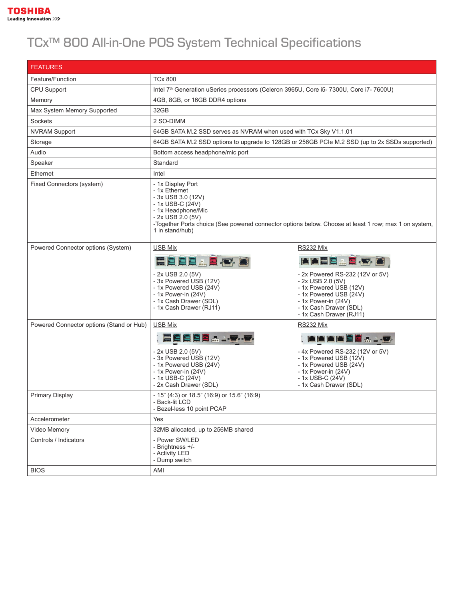

## TCx™ 800 All-in-One POS System Technical Specifications

| <b>FEATURES</b>                          |                                                                                                                                                                                                                                                      |                                                                                                                                                                                                     |  |  |
|------------------------------------------|------------------------------------------------------------------------------------------------------------------------------------------------------------------------------------------------------------------------------------------------------|-----------------------------------------------------------------------------------------------------------------------------------------------------------------------------------------------------|--|--|
| Feature/Function                         | <b>TCx 800</b>                                                                                                                                                                                                                                       |                                                                                                                                                                                                     |  |  |
| <b>CPU Support</b>                       | Intel 7 <sup>th</sup> Generation uSeries processors (Celeron 3965U, Core i5-7300U, Core i7-7600U)                                                                                                                                                    |                                                                                                                                                                                                     |  |  |
| Memory                                   | 4GB, 8GB, or 16GB DDR4 options                                                                                                                                                                                                                       |                                                                                                                                                                                                     |  |  |
| Max System Memory Supported              | 32GB                                                                                                                                                                                                                                                 |                                                                                                                                                                                                     |  |  |
| Sockets                                  | 2 SO-DIMM                                                                                                                                                                                                                                            |                                                                                                                                                                                                     |  |  |
| <b>NVRAM Support</b>                     | 64GB SATA M.2 SSD serves as NVRAM when used with TCx Sky V1.1.01                                                                                                                                                                                     |                                                                                                                                                                                                     |  |  |
| Storage                                  | 64GB SATA M.2 SSD options to upgrade to 128GB or 256GB PCIe M.2 SSD (up to 2x SSDs supported)                                                                                                                                                        |                                                                                                                                                                                                     |  |  |
| Audio                                    | Bottom access headphone/mic port                                                                                                                                                                                                                     |                                                                                                                                                                                                     |  |  |
| Speaker                                  | Standard                                                                                                                                                                                                                                             |                                                                                                                                                                                                     |  |  |
| Ethernet                                 | Intel                                                                                                                                                                                                                                                |                                                                                                                                                                                                     |  |  |
| Fixed Connectors (system)                | - 1x Display Port<br>- 1x Ethernet<br>$-3x$ USB 3.0 (12V)<br>- 1x USB-C (24V)<br>- 1x Headphone/Mic<br>$-2x$ USB 2.0 (5V)<br>-Together Ports choice (See powered connector options below. Choose at least 1 row; max 1 on system,<br>1 in stand/hub) |                                                                                                                                                                                                     |  |  |
| Powered Connector options (System)       | <b>USB Mix</b>                                                                                                                                                                                                                                       | RS232 Mix                                                                                                                                                                                           |  |  |
|                                          | 日日日日日日でき<br>$-2x$ USB 2.0 (5V)<br>- 3x Powered USB (12V)<br>- 1x Powered USB (24V)<br>- 1x Power-in (24V)<br>- 1x Cash Drawer (SDL)<br>- 1x Cash Drawer (RJ11)                                                                                       | ▲▲日真…夏~? ●<br>- 2x Powered RS-232 (12V or 5V)<br>$-2x$ USB 2.0 (5V)<br>- 1x Powered USB (12V)<br>- 1x Powered USB (24V)<br>- 1x Power-in (24V)<br>- 1x Cash Drawer (SDL)<br>- 1x Cash Drawer (RJ11) |  |  |
| Powered Connector options (Stand or Hub) | <b>USB Mix</b>                                                                                                                                                                                                                                       | RS232 Mix                                                                                                                                                                                           |  |  |
|                                          | - 2x USB 2.0 (5V)<br>- 3x Powered USB (12V)<br>- 1x Powered USB (24V)<br>- 1x Power-in (24V)<br>- 1x USB-C (24V)<br>- 2x Cash Drawer (SDL)                                                                                                           | <b>MAAAEE</b><br>- 4x Powered RS-232 (12V or 5V)<br>- 1x Powered USB (12V)<br>- 1x Powered USB (24V)<br>- 1x Power-in (24V)<br>- 1x USB-C (24V)<br>- 1x Cash Drawer (SDL)                           |  |  |
| <b>Primary Display</b>                   | - 15" (4:3) or 18.5" (16:9) or 15.6" (16:9)<br>- Back-lit LCD<br>- Bezel-less 10 point PCAP                                                                                                                                                          |                                                                                                                                                                                                     |  |  |
| Accelerometer                            | Yes                                                                                                                                                                                                                                                  |                                                                                                                                                                                                     |  |  |
| Video Memory                             | 32MB allocated, up to 256MB shared                                                                                                                                                                                                                   |                                                                                                                                                                                                     |  |  |
| Controls / Indicators                    | - Power SW/LED<br>- Brightness +/-<br>- Activity LED<br>- Dump switch                                                                                                                                                                                |                                                                                                                                                                                                     |  |  |
| <b>BIOS</b>                              | AMI                                                                                                                                                                                                                                                  |                                                                                                                                                                                                     |  |  |